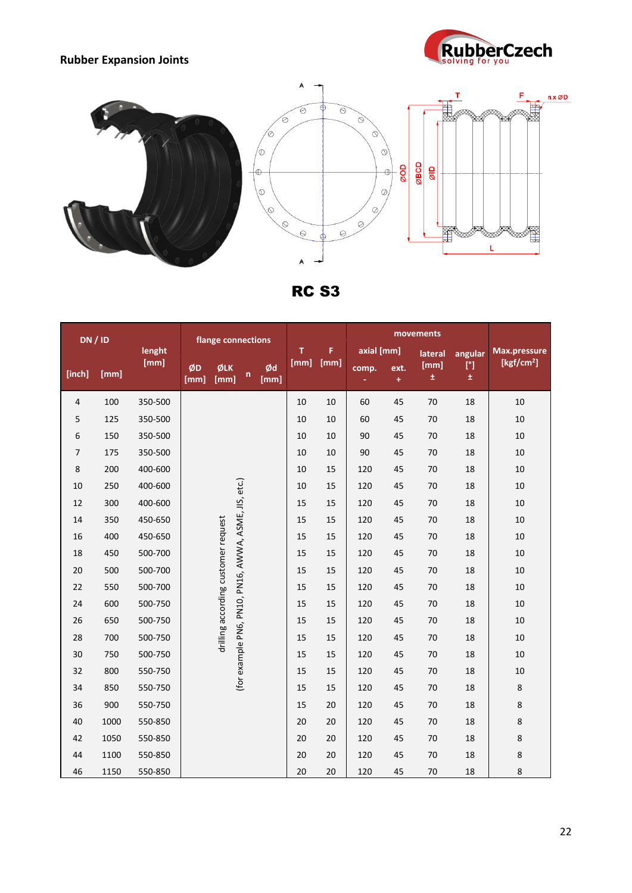## **Rubber Expansion Joints**





RC S3

| <b>DN / ID</b> |      |         | flange connections                  |             |                                                      |            |        |            |       |                   |               |                       |                        |
|----------------|------|---------|-------------------------------------|-------------|------------------------------------------------------|------------|--------|------------|-------|-------------------|---------------|-----------------------|------------------------|
|                |      | lenght  |                                     |             |                                                      | т.         | F      | axial [mm] |       | lateral           | angular       | Max.pressure          |                        |
| [inch]         | [mm] | [mm]    | ØD<br>[mm]                          | ØLK<br>[mm] | $\mathsf{n}$                                         | Ød<br>[mm] | [mm]   | [mm]       | comp. | ext.<br>$\ddot{}$ | [mm]<br>$\pm$ | $[^{\circ}]$<br>$\pm$ | [kgf/cm <sup>2</sup> ] |
| $\overline{4}$ | 100  | 350-500 |                                     |             |                                                      |            | $10\,$ | 10         | 60    | 45                | 70            | 18                    | 10                     |
| 5              | 125  | 350-500 |                                     |             | (for example PN6, PN10, PN16, AWWA, ASME, JIS, etc.) |            | 10     | 10         | 60    | 45                | 70            | 18                    | 10                     |
| 6              | 150  | 350-500 |                                     |             |                                                      |            | 10     | 10         | 90    | 45                | 70            | 18                    | 10                     |
| 7              | 175  | 350-500 |                                     |             |                                                      | 10         | 10     | 90         | 45    | 70                | 18            | 10                    |                        |
| 8              | 200  | 400-600 |                                     |             |                                                      | 10         | 15     | 120        | 45    | 70                | 18            | 10                    |                        |
| 10             | 250  | 400-600 |                                     |             |                                                      | 10         | 15     | 120        | 45    | 70                | 18            | 10                    |                        |
| 12             | 300  | 400-600 |                                     |             |                                                      | 15         | 15     | 120        | 45    | 70                | 18            | 10                    |                        |
| 14             | 350  | 450-650 |                                     |             |                                                      |            | 15     | 15         | 120   | 45                | 70            | 18                    | 10                     |
| 16             | 400  | 450-650 |                                     |             |                                                      |            | 15     | 15         | 120   | 45                | 70            | 18                    | 10                     |
| 18             | 450  | 500-700 |                                     |             |                                                      |            | 15     | 15         | 120   | 45                | 70            | 18                    | 10                     |
| 20             | 500  | 500-700 |                                     |             |                                                      |            | 15     | 15         | 120   | 45                | 70            | 18                    | 10                     |
| 22             | 550  | 500-700 |                                     |             |                                                      |            | 15     | 15         | 120   | 45                | 70            | 18                    | 10                     |
| 24             | 600  | 500-750 |                                     |             |                                                      |            | 15     | 15         | 120   | 45                | 70            | 18                    | 10                     |
| 26             | 650  | 500-750 |                                     |             |                                                      |            | 15     | 15         | 120   | 45                | 70            | 18                    | 10                     |
| 28             | 700  | 500-750 | drilling according customer request |             |                                                      |            | 15     | 15         | 120   | 45                | 70            | 18                    | 10                     |
| 30             | 750  | 500-750 |                                     |             |                                                      |            | 15     | 15         | 120   | 45                | 70            | 18                    | 10                     |
| 32             | 800  | 550-750 |                                     |             |                                                      | 15         | 15     | 120        | 45    | 70                | 18            | 10                    |                        |
| 34             | 850  | 550-750 |                                     |             |                                                      | 15         | 15     | 120        | 45    | 70                | 18            | $\,8\,$               |                        |
| 36             | 900  | 550-750 |                                     |             |                                                      |            | 15     | 20         | 120   | 45                | 70            | 18                    | $\,8\,$                |
| 40             | 1000 | 550-850 |                                     |             |                                                      |            | 20     | 20         | 120   | 45                | 70            | 18                    | $\bf 8$                |
| 42             | 1050 | 550-850 |                                     |             |                                                      |            | 20     | 20         | 120   | 45                | 70            | 18                    | $\bf 8$                |
| 44             | 1100 | 550-850 |                                     |             |                                                      |            | 20     | 20         | 120   | 45                | 70            | 18                    | $\bf 8$                |
| 46             | 1150 | 550-850 |                                     |             |                                                      |            | 20     | 20         | 120   | 45                | 70            | 18                    | 8                      |